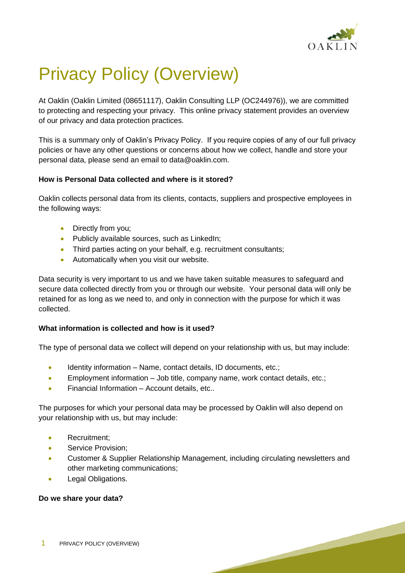

# Privacy Policy (Overview)

At Oaklin (Oaklin Limited (08651117), Oaklin Consulting LLP (OC244976)), we are committed to protecting and respecting your privacy. This online privacy statement provides an overview of our privacy and data protection practices.

This is a summary only of Oaklin's Privacy Policy. If you require copies of any of our full privacy policies or have any other questions or concerns about how we collect, handle and store your personal data, please send an email to data@oaklin.com.

### **How is Personal Data collected and where is it stored?**

Oaklin collects personal data from its clients, contacts, suppliers and prospective employees in the following ways:

- Directly from you;
- Publicly available sources, such as LinkedIn;
- Third parties acting on your behalf, e.g. recruitment consultants;
- Automatically when you visit our website.

Data security is very important to us and we have taken suitable measures to safeguard and secure data collected directly from you or through our website. Your personal data will only be retained for as long as we need to, and only in connection with the purpose for which it was collected.

## **What information is collected and how is it used?**

The type of personal data we collect will depend on your relationship with us, but may include:

- Identity information Name, contact details, ID documents, etc.;
- Employment information Job title, company name, work contact details, etc.;
- Financial Information Account details, etc..

The purposes for which your personal data may be processed by Oaklin will also depend on your relationship with us, but may include:

- Recruitment;
- Service Provision;
- Customer & Supplier Relationship Management, including circulating newsletters and other marketing communications;
- Legal Obligations.

#### **Do we share your data?**